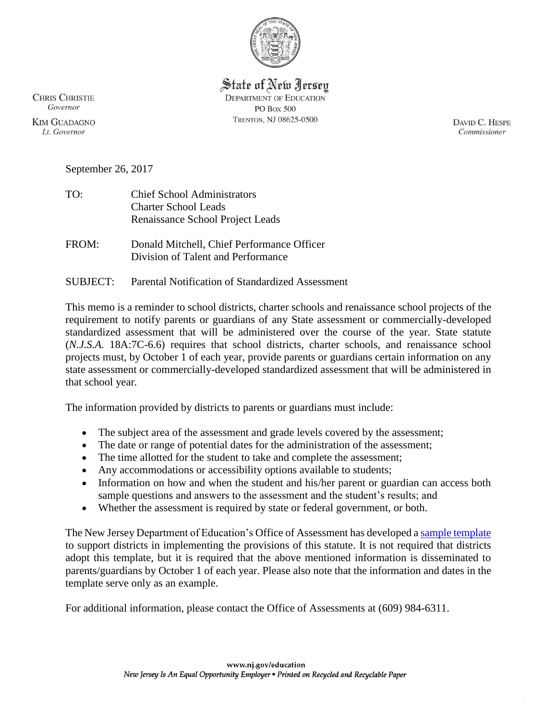

State of New Jersey **DEPARTMENT OF EDUCATION PO Box 500** TRENTON, NJ 08625-0500

**CHRIS CHRISTIE** Governor

**KIM GUADAGNO** Lt. Governor

DAVID C. HESPE Commissioner

September 26, 2017

| <b>Chief School Administrators</b> |
|------------------------------------|
| <b>Charter School Leads</b>        |
| Renaissance School Project Leads   |
|                                    |

FROM: Donald Mitchell, Chief Performance Officer Division of Talent and Performance

SUBJECT: Parental Notification of Standardized Assessment

This memo is a reminder to school districts, charter schools and renaissance school projects of the requirement to notify parents or guardians of any State assessment or commercially-developed standardized assessment that will be administered over the course of the year. State statute (*N.J.S.A.* 18A:7C-6.6) requires that school districts, charter schools, and renaissance school projects must, by October 1 of each year, provide parents or guardians certain information on any state assessment or commercially-developed standardized assessment that will be administered in that school year*.*

The information provided by districts to parents or guardians must include:

- The subject area of the assessment and grade levels covered by the assessment;
- The date or range of potential dates for the administration of the assessment;
- The time allotted for the student to take and complete the assessment;
- Any accommodations or accessibility options available to students;
- Information on how and when the student and his/her parent or guardian can access both sample questions and answers to the assessment and the student's results; and
- Whether the assessment is required by state or federal government, or both.

The New Jersey Department of Education's Office of Assessment has developed [a sample template](http://www.state.nj.us/education/assessment/district/SampleParentNotificationTemplate.xlsx) to support districts in implementing the provisions of this statute. It is not required that districts adopt this template, but it is required that the above mentioned information is disseminated to parents/guardians by October 1 of each year. Please also note that the information and dates in the template serve only as an example.

For additional information, please contact the Office of Assessments at (609) 984-6311.